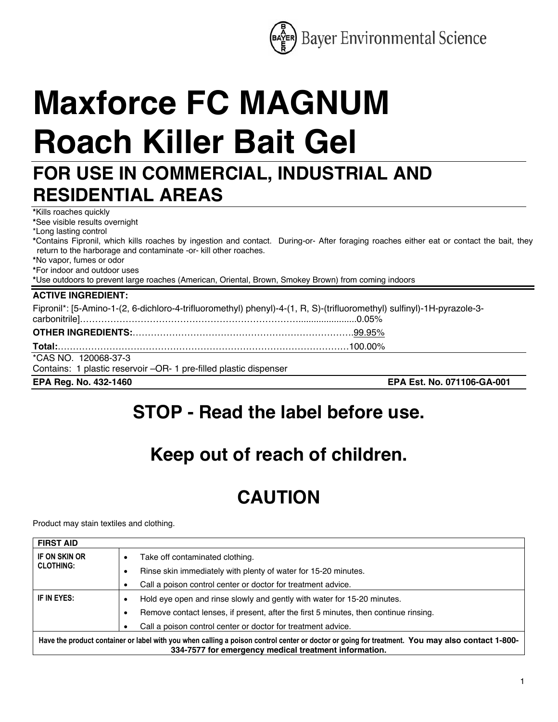

# **Maxforce FC MAGNUM Roach Killer Bait Gel**

### **FOR USE IN COMMERCIAL, INDUSTRIAL AND RESIDENTIAL AREAS**

**\***Kills roaches quickly **\***See visible results overnight

\*Long lasting control

**\***Contains Fipronil, which kills roaches by ingestion and contact. During-or- After foraging roaches either eat or contact the bait, they return to the harborage and contaminate -or- kill other roaches.

**\***No vapor, fumes or odor

**\***For indoor and outdoor uses

**\***Use outdoors to prevent large roaches (American, Oriental, Brown, Smokey Brown) from coming indoors

| <b>ACTIVE INGREDIENT:</b>                                                                                              |                            |
|------------------------------------------------------------------------------------------------------------------------|----------------------------|
| Fipronil*: [5-Amino-1-(2, 6-dichloro-4-trifluoromethyl) phenyl)-4-(1, R, S)-(trifluoromethyl) sulfinyl)-1H-pyrazole-3- |                            |
|                                                                                                                        |                            |
|                                                                                                                        |                            |
|                                                                                                                        |                            |
| *CAS NO. 120068-37-3                                                                                                   |                            |
| Contains: 1 plastic reservoir -OR- 1 pre-filled plastic dispenser                                                      |                            |
| EPA Reg. No. 432-1460                                                                                                  | EPA Est. No. 071106-GA-001 |

### **STOP - Read the label before use.**

## **Keep out of reach of children.**

## **CAUTION**

Product may stain textiles and clothing.

| <b>FIRST AID</b>                                                                                                                                                                                         |                                                                                      |
|----------------------------------------------------------------------------------------------------------------------------------------------------------------------------------------------------------|--------------------------------------------------------------------------------------|
| IF ON SKIN OR<br><b>CLOTHING:</b>                                                                                                                                                                        | Take off contaminated clothing.                                                      |
|                                                                                                                                                                                                          | Rinse skin immediately with plenty of water for 15-20 minutes.                       |
|                                                                                                                                                                                                          | Call a poison control center or doctor for treatment advice.                         |
| IF IN EYES:                                                                                                                                                                                              | Hold eye open and rinse slowly and gently with water for 15-20 minutes.              |
|                                                                                                                                                                                                          | Remove contact lenses, if present, after the first 5 minutes, then continue rinsing. |
|                                                                                                                                                                                                          | Call a poison control center or doctor for treatment advice.                         |
| Have the product container or label with you when calling a poison control center or doctor or going for treatment. You may also contact 1-800-<br>334-7577 for emergency medical treatment information. |                                                                                      |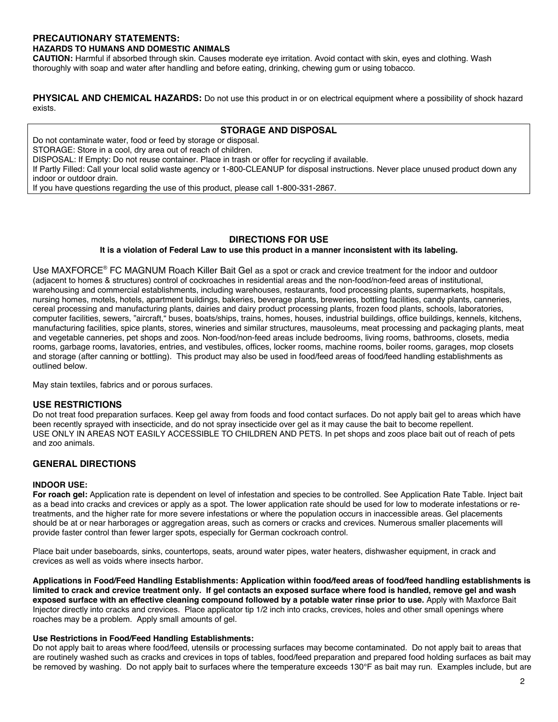#### **PRECAUTIONARY STATEMENTS: HAZARDS TO HUMANS AND DOMESTIC ANIMALS**

**CAUTION:** Harmful if absorbed through skin. Causes moderate eye irritation. Avoid contact with skin, eyes and clothing. Wash thoroughly with soap and water after handling and before eating, drinking, chewing gum or using tobacco.

**PHYSICAL AND CHEMICAL HAZARDS:** Do not use this product in or on electrical equipment where a possibility of shock hazard exists.

#### **STORAGE AND DISPOSAL**

Do not contaminate water, food or feed by storage or disposal.

STORAGE: Store in a cool, dry area out of reach of children.

DISPOSAL: If Empty: Do not reuse container. Place in trash or offer for recycling if available.

If Partly Filled: Call your local solid waste agency or 1-800-CLEANUP for disposal instructions. Never place unused product down any indoor or outdoor drain.

If you have questions regarding the use of this product, please call 1-800-331-2867.

#### **DIRECTIONS FOR USE**

#### **It is a violation of Federal Law to use this product in a manner inconsistent with its labeling.**

Use MAXFORCE® FC MAGNUM Roach Killer Bait Gel as a spot or crack and crevice treatment for the indoor and outdoor (adjacent to homes & structures) control of cockroaches in residential areas and the non-food/non-feed areas of institutional, warehousing and commercial establishments, including warehouses, restaurants, food processing plants, supermarkets, hospitals, nursing homes, motels, hotels, apartment buildings, bakeries, beverage plants, breweries, bottling facilities, candy plants, canneries, cereal processing and manufacturing plants, dairies and dairy product processing plants, frozen food plants, schools, laboratories, computer facilities, sewers, "aircraft," buses, boats/ships, trains, homes, houses, industrial buildings, office buildings, kennels, kitchens, manufacturing facilities, spice plants, stores, wineries and similar structures, mausoleums, meat processing and packaging plants, meat and vegetable canneries, pet shops and zoos. Non-food/non-feed areas include bedrooms, living rooms, bathrooms, closets, media rooms, garbage rooms, lavatories, entries, and vestibules, offices, locker rooms, machine rooms, boiler rooms, garages, mop closets and storage (after canning or bottling). This product may also be used in food/feed areas of food/feed handling establishments as outlined below.

May stain textiles, fabrics and or porous surfaces.

#### **USE RESTRICTIONS**

Do not treat food preparation surfaces. Keep gel away from foods and food contact surfaces. Do not apply bait gel to areas which have been recently sprayed with insecticide, and do not spray insecticide over gel as it may cause the bait to become repellent. USE ONLY IN AREAS NOT EASILY ACCESSIBLE TO CHILDREN AND PETS. In pet shops and zoos place bait out of reach of pets and zoo animals.

#### **GENERAL DIRECTIONS**

#### **INDOOR USE:**

**For roach gel:** Application rate is dependent on level of infestation and species to be controlled. See Application Rate Table. Inject bait as a bead into cracks and crevices or apply as a spot. The lower application rate should be used for low to moderate infestations or retreatments, and the higher rate for more severe infestations or where the population occurs in inaccessible areas. Gel placements should be at or near harborages or aggregation areas, such as corners or cracks and crevices. Numerous smaller placements will provide faster control than fewer larger spots, especially for German cockroach control.

Place bait under baseboards, sinks, countertops, seats, around water pipes, water heaters, dishwasher equipment, in crack and crevices as well as voids where insects harbor.

**Applications in Food/Feed Handling Establishments: Application within food/feed areas of food/feed handling establishments is limited to crack and crevice treatment only. If gel contacts an exposed surface where food is handled, remove gel and wash exposed surface with an effective cleaning compound followed by a potable water rinse prior to use.** Apply with Maxforce Bait Injector directly into cracks and crevices. Place applicator tip 1/2 inch into cracks, crevices, holes and other small openings where roaches may be a problem. Apply small amounts of gel.

#### **Use Restrictions in Food/Feed Handling Establishments:**

Do not apply bait to areas where food/feed, utensils or processing surfaces may become contaminated. Do not apply bait to areas that are routinely washed such as cracks and crevices in tops of tables, food/feed preparation and prepared food holding surfaces as bait may be removed by washing. Do not apply bait to surfaces where the temperature exceeds 130°F as bait may run. Examples include, but are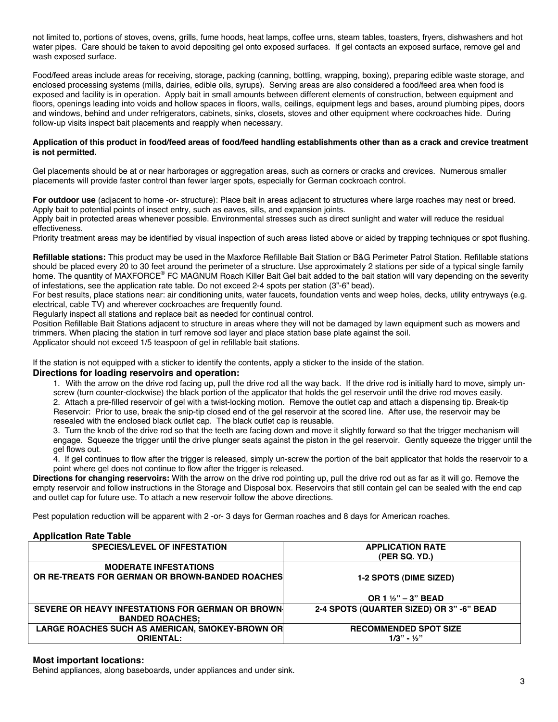not limited to, portions of stoves, ovens, grills, fume hoods, heat lamps, coffee urns, steam tables, toasters, fryers, dishwashers and hot water pipes. Care should be taken to avoid depositing gel onto exposed surfaces. If gel contacts an exposed surface, remove gel and wash exposed surface.

Food/feed areas include areas for receiving, storage, packing (canning, bottling, wrapping, boxing), preparing edible waste storage, and enclosed processing systems (mills, dairies, edible oils, syrups). Serving areas are also considered a food/feed area when food is exposed and facility is in operation. Apply bait in small amounts between different elements of construction, between equipment and floors, openings leading into voids and hollow spaces in floors, walls, ceilings, equipment legs and bases, around plumbing pipes, doors and windows, behind and under refrigerators, cabinets, sinks, closets, stoves and other equipment where cockroaches hide. During follow-up visits inspect bait placements and reapply when necessary.

#### **Application of this product in food/feed areas of food/feed handling establishments other than as a crack and crevice treatment is not permitted.**

Gel placements should be at or near harborages or aggregation areas, such as corners or cracks and crevices. Numerous smaller placements will provide faster control than fewer larger spots, especially for German cockroach control.

**For outdoor use** (adjacent to home -or- structure): Place bait in areas adjacent to structures where large roaches may nest or breed. Apply bait to potential points of insect entry, such as eaves, sills, and expansion joints.

Apply bait in protected areas whenever possible. Environmental stresses such as direct sunlight and water will reduce the residual effectiveness.

Priority treatment areas may be identified by visual inspection of such areas listed above or aided by trapping techniques or spot flushing.

**Refillable stations:** This product may be used in the Maxforce Refillable Bait Station or B&G Perimeter Patrol Station. Refillable stations should be placed every 20 to 30 feet around the perimeter of a structure. Use approximately 2 stations per side of a typical single family home. The quantity of MAXFORCE® FC MAGNUM Roach Killer Bait Gel bait added to the bait station will vary depending on the severity of infestations, see the application rate table. Do not exceed 2-4 spots per station (3"-6" bead).

For best results, place stations near: air conditioning units, water faucets, foundation vents and weep holes, decks, utility entryways (e.g. electrical, cable TV) and wherever cockroaches are frequently found.

Regularly inspect all stations and replace bait as needed for continual control.

Position Refillable Bait Stations adjacent to structure in areas where they will not be damaged by lawn equipment such as mowers and trimmers. When placing the station in turf remove sod layer and place station base plate against the soil.

Applicator should not exceed 1/5 teaspoon of gel in refillable bait stations.

If the station is not equipped with a sticker to identify the contents, apply a sticker to the inside of the station.

#### **Directions for loading reservoirs and operation:**

1. With the arrow on the drive rod facing up, pull the drive rod all the way back. If the drive rod is initially hard to move, simply unscrew (turn counter-clockwise) the black portion of the applicator that holds the gel reservoir until the drive rod moves easily. 2. Attach a pre-filled reservoir of gel with a twist-locking motion. Remove the outlet cap and attach a dispensing tip. Break-tip Reservoir: Prior to use, break the snip-tip closed end of the gel reservoir at the scored line. After use, the reservoir may be resealed with the enclosed black outlet cap. The black outlet cap is reusable.

3. Turn the knob of the drive rod so that the teeth are facing down and move it slightly forward so that the trigger mechanism will engage. Squeeze the trigger until the drive plunger seats against the piston in the gel reservoir. Gently squeeze the trigger until the gel flows out.

4. If gel continues to flow after the trigger is released, simply un-screw the portion of the bait applicator that holds the reservoir to a point where gel does not continue to flow after the trigger is released.

**Directions for changing reservoirs:** With the arrow on the drive rod pointing up, pull the drive rod out as far as it will go. Remove the empty reservoir and follow instructions in the Storage and Disposal box. Reservoirs that still contain gel can be sealed with the end cap and outlet cap for future use. To attach a new reservoir follow the above directions.

Pest population reduction will be apparent with 2 -or- 3 days for German roaches and 8 days for American roaches.

#### **Application Rate Table**

| <b>SPECIES/LEVEL OF INFESTATION</b>                                             | <b>APPLICATION RATE</b><br>(PER SQ. YD.) |
|---------------------------------------------------------------------------------|------------------------------------------|
| <b>MODERATE INFESTATIONS</b><br>OR RE-TREATS FOR GERMAN OR BROWN-BANDED ROACHES | <b>1-2 SPOTS (DIME SIZED)</b>            |
|                                                                                 |                                          |
|                                                                                 | OR 1 $1/2$ " – 3" BEAD                   |
| SEVERE OR HEAVY INFESTATIONS FOR GERMAN OR BROWN<br><b>BANDED ROACHES:</b>      | 2-4 SPOTS (QUARTER SIZED) OR 3" -6" BEAD |
| LARGE ROACHES SUCH AS AMERICAN, SMOKEY-BROWN OR                                 | <b>RECOMMENDED SPOT SIZE</b>             |
| <b>ORIENTAL:</b>                                                                | $1/3" - 1/2"$                            |

#### **Most important locations:**

Behind appliances, along baseboards, under appliances and under sink.